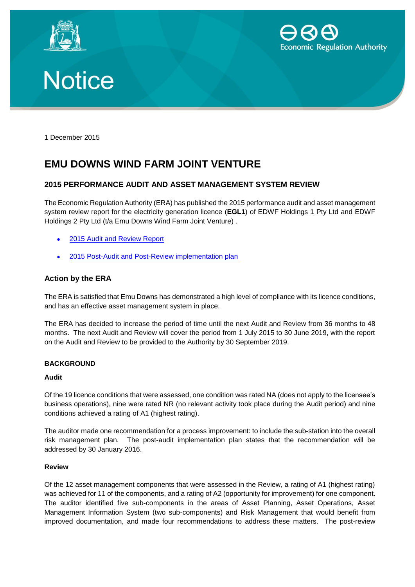





1 December 2015

# **EMU DOWNS WIND FARM JOINT VENTURE**

## **2015 PERFORMANCE AUDIT AND ASSET MANAGEMENT SYSTEM REVIEW**

The Economic Regulation Authority (ERA) has published the 2015 performance audit and asset management system review report for the electricity generation licence (**EGL1**) of EDWF Holdings 1 Pty Ltd and EDWF Holdings 2 Pty Ltd (t/a Emu Downs Wind Farm Joint Venture) .

- 2015 [Audit and Review Report](http://www.erawa.com.au/admin/svr_admin/Common/PortalMaster/Content/Interface/ContentFileAccess.ashx?contentID=13977&recordID=134525&filename=Attachment%201-%202015%20Audit%20and%20Review%20Report%20-Final%20-EGL001%20-EDWF(2).pdf)
- 2015 [Post-Audit and Post-Review implementation plan](http://www.erawa.com.au/admin/svr_admin/Common/PortalMaster/Content/Interface/ContentFileAccess.ashx?contentID=13978&recordID=134529&filename=Attachment%202-%202015%20Post%20Audit%20Implementation%20Plan-%20Final-EGL001-%20EDWF(2).PDF)

## **Action by the ERA**

The ERA is satisfied that Emu Downs has demonstrated a high level of compliance with its licence conditions, and has an effective asset management system in place.

The ERA has decided to increase the period of time until the next Audit and Review from 36 months to 48 months. The next Audit and Review will cover the period from 1 July 2015 to 30 June 2019, with the report on the Audit and Review to be provided to the Authority by 30 September 2019.

#### **BACKGROUND**

#### **Audit**

Of the 19 licence conditions that were assessed, one condition was rated NA (does not apply to the licensee's business operations), nine were rated NR (no relevant activity took place during the Audit period) and nine conditions achieved a rating of A1 (highest rating).

The auditor made one recommendation for a process improvement: to include the sub-station into the overall risk management plan. The post-audit implementation plan states that the recommendation will be addressed by 30 January 2016.

#### **Review**

Of the 12 asset management components that were assessed in the Review, a rating of A1 (highest rating) was achieved for 11 of the components, and a rating of A2 (opportunity for improvement) for one component. The auditor identified five sub-components in the areas of Asset Planning, Asset Operations, Asset Management Information System (two sub-components) and Risk Management that would benefit from improved documentation, and made four recommendations to address these matters. The post-review